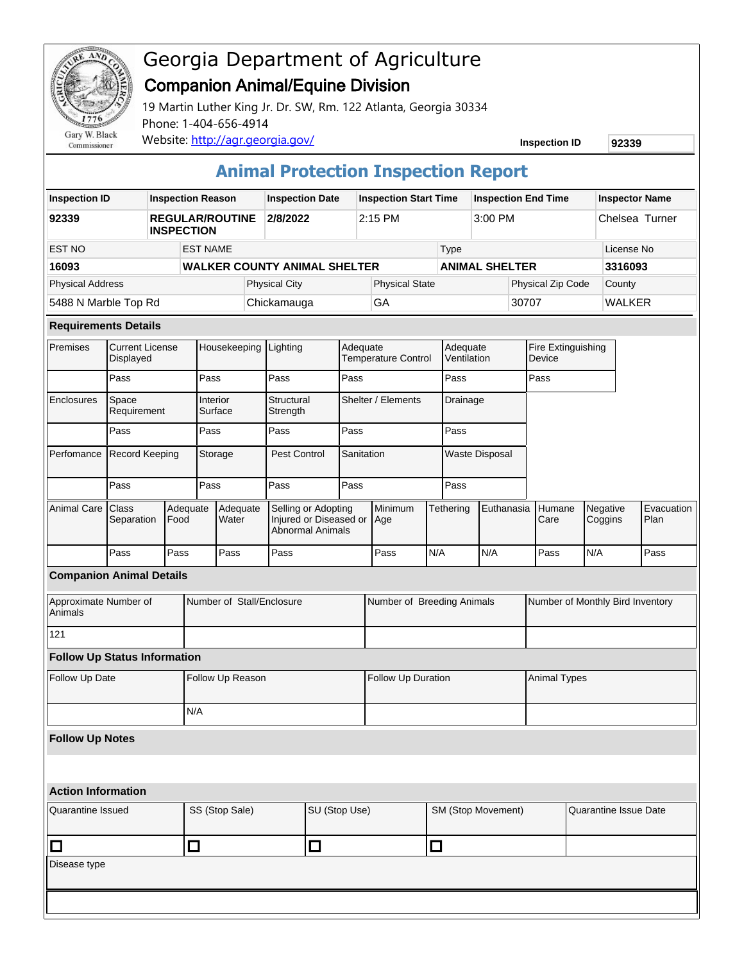

Commissioner

## Georgia Department of Agriculture Companion Animal/Equine Division

19 Martin Luther King Jr. Dr. SW, Rm. 122 Atlanta, Georgia 30334 Phone: 1-404-656-4914 Website: http://agr.georgia.gov/ **Inspection ID** 92339

## **Animal Protection Inspection Report**

| <b>Inspection ID</b>                |                                         | <b>Inspection Reason</b>                    |                           |                     | <b>Inspection Date</b>              |                                                                          |                    | <b>Inspection Start Time</b> |                                 |                       | <b>Inspection End Time</b> |            |                                  |                              | <b>Inspector Name</b> |                     |  |                    |
|-------------------------------------|-----------------------------------------|---------------------------------------------|---------------------------|---------------------|-------------------------------------|--------------------------------------------------------------------------|--------------------|------------------------------|---------------------------------|-----------------------|----------------------------|------------|----------------------------------|------------------------------|-----------------------|---------------------|--|--------------------|
| 92339                               |                                         | <b>REGULAR/ROUTINE</b><br><b>INSPECTION</b> |                           |                     | 2/8/2022                            |                                                                          |                    | 2:15 PM                      |                                 |                       | 3:00 PM                    |            |                                  | Chelsea Turner               |                       |                     |  |                    |
| EST NO                              |                                         |                                             | <b>EST NAME</b>           |                     |                                     |                                                                          |                    |                              | Type                            |                       |                            |            |                                  |                              | License No            |                     |  |                    |
| 16093                               |                                         |                                             |                           |                     | <b>WALKER COUNTY ANIMAL SHELTER</b> |                                                                          |                    |                              |                                 | <b>ANIMAL SHELTER</b> |                            |            |                                  |                              | 3316093               |                     |  |                    |
| <b>Physical Address</b>             |                                         |                                             |                           |                     |                                     | <b>Physical City</b>                                                     |                    |                              | <b>Physical State</b>           |                       |                            |            |                                  | Physical Zip Code            |                       | County              |  |                    |
| 5488 N Marble Top Rd                |                                         |                                             |                           |                     |                                     | Chickamauga                                                              |                    | GA                           |                                 |                       | 30707                      |            |                                  | <b>WALKER</b>                |                       |                     |  |                    |
| <b>Requirements Details</b>         |                                         |                                             |                           |                     |                                     |                                                                          |                    |                              |                                 |                       |                            |            |                                  |                              |                       |                     |  |                    |
| Premises                            | <b>Current License</b><br>Displayed     |                                             | Housekeeping              |                     |                                     | Lighting                                                                 |                    |                              | Adequate<br>Temperature Control |                       | Adequate<br>Ventilation    |            |                                  | Fire Extinguishing<br>Device |                       |                     |  |                    |
|                                     | Pass                                    |                                             |                           | Pass                |                                     | Pass                                                                     | Pass               |                              |                                 |                       | Pass                       |            |                                  | Pass                         |                       |                     |  |                    |
| Enclosures                          | Space<br>Requirement                    |                                             |                           | Interior<br>Surface |                                     | Structural<br>Strength                                                   |                    | Shelter / Elements           |                                 |                       | Drainage                   |            |                                  |                              |                       |                     |  |                    |
|                                     | Pass                                    |                                             |                           | Pass                |                                     | Pass                                                                     |                    | Pass                         |                                 | Pass                  |                            |            |                                  |                              |                       |                     |  |                    |
| Perfomance                          | Record Keeping                          |                                             |                           | Storage             |                                     | Pest Control                                                             |                    | Sanitation                   |                                 | <b>Waste Disposal</b> |                            |            |                                  |                              |                       |                     |  |                    |
|                                     | Pass                                    |                                             |                           | Pass                |                                     | Pass                                                                     |                    | Pass                         |                                 |                       | Pass                       |            |                                  |                              |                       |                     |  |                    |
| Animal Care                         | Class<br>Adequate<br>Separation<br>Food |                                             |                           | Adequate<br>Water   |                                     | Selling or Adopting<br>Injured or Diseased or<br><b>Abnormal Animals</b> |                    |                              | Minimum<br>Age                  |                       | Tethering                  | Euthanasia |                                  | Humane<br>Care               |                       | Negative<br>Coggins |  | Evacuation<br>Plan |
|                                     | Pass                                    |                                             | Pass                      | Pass                |                                     | Pass                                                                     |                    |                              | Pass                            | N/A                   |                            | N/A        |                                  | Pass                         | N/A                   |                     |  | Pass               |
| <b>Companion Animal Details</b>     |                                         |                                             |                           |                     |                                     |                                                                          |                    |                              |                                 |                       |                            |            |                                  |                              |                       |                     |  |                    |
| Approximate Number of<br>Animals    |                                         |                                             | Number of Stall/Enclosure |                     |                                     |                                                                          |                    |                              | Number of Breeding Animals      |                       |                            |            | Number of Monthly Bird Inventory |                              |                       |                     |  |                    |
| 121                                 |                                         |                                             |                           |                     |                                     |                                                                          |                    |                              |                                 |                       |                            |            |                                  |                              |                       |                     |  |                    |
| <b>Follow Up Status Information</b> |                                         |                                             |                           |                     |                                     |                                                                          |                    |                              |                                 |                       |                            |            |                                  |                              |                       |                     |  |                    |
| Follow Up Date                      |                                         |                                             | Follow Up Reason          |                     |                                     |                                                                          | Follow Up Duration |                              |                                 |                       |                            |            |                                  | <b>Animal Types</b>          |                       |                     |  |                    |
|                                     |                                         |                                             |                           | N/A                 |                                     |                                                                          |                    |                              |                                 |                       |                            |            |                                  |                              |                       |                     |  |                    |
| <b>Follow Up Notes</b>              |                                         |                                             |                           |                     |                                     |                                                                          |                    |                              |                                 |                       |                            |            |                                  |                              |                       |                     |  |                    |
|                                     |                                         |                                             |                           |                     |                                     |                                                                          |                    |                              |                                 |                       |                            |            |                                  |                              |                       |                     |  |                    |
| <b>Action Information</b>           |                                         |                                             |                           |                     |                                     |                                                                          |                    |                              |                                 |                       |                            |            |                                  |                              |                       |                     |  |                    |
| <b>Quarantine Issued</b>            |                                         |                                             | SS (Stop Sale)            |                     |                                     | SU (Stop Use)                                                            |                    |                              |                                 |                       | SM (Stop Movement)         |            |                                  | Quarantine Issue Date        |                       |                     |  |                    |
| $\Box$                              |                                         |                                             | □                         |                     |                                     | $\Box$                                                                   |                    |                              | □                               |                       |                            |            |                                  |                              |                       |                     |  |                    |
| Disease type                        |                                         |                                             |                           |                     |                                     |                                                                          |                    |                              |                                 |                       |                            |            |                                  |                              |                       |                     |  |                    |
|                                     |                                         |                                             |                           |                     |                                     |                                                                          |                    |                              |                                 |                       |                            |            |                                  |                              |                       |                     |  |                    |